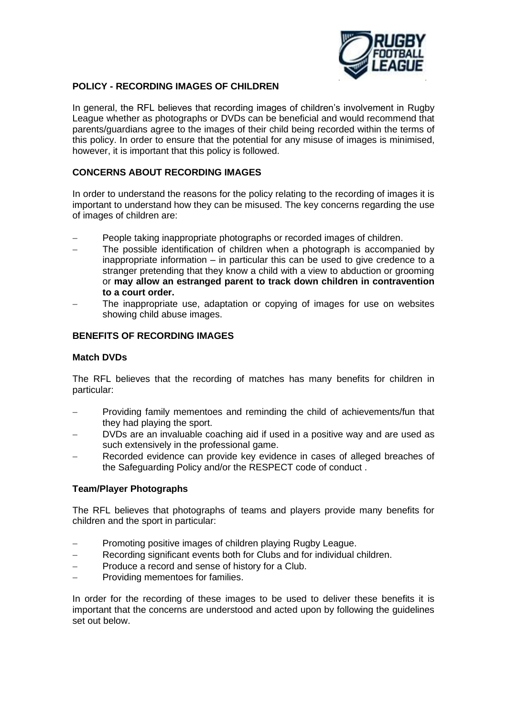

# **POLICY - RECORDING IMAGES OF CHILDREN**

In general, the RFL believes that recording images of children's involvement in Rugby League whether as photographs or DVDs can be beneficial and would recommend that parents/guardians agree to the images of their child being recorded within the terms of this policy. In order to ensure that the potential for any misuse of images is minimised, however, it is important that this policy is followed.

# **CONCERNS ABOUT RECORDING IMAGES**

In order to understand the reasons for the policy relating to the recording of images it is important to understand how they can be misused. The key concerns regarding the use of images of children are:

- People taking inappropriate photographs or recorded images of children.
- The possible identification of children when a photograph is accompanied by inappropriate information – in particular this can be used to give credence to a stranger pretending that they know a child with a view to abduction or grooming or **may allow an estranged parent to track down children in contravention to a court order.**
- The inappropriate use, adaptation or copying of images for use on websites showing child abuse images.

# **BENEFITS OF RECORDING IMAGES**

#### **Match DVDs**

The RFL believes that the recording of matches has many benefits for children in particular:

- Providing family mementoes and reminding the child of achievements/fun that they had playing the sport.
- DVDs are an invaluable coaching aid if used in a positive way and are used as such extensively in the professional game.
- Recorded evidence can provide key evidence in cases of alleged breaches of the Safeguarding Policy and/or the RESPECT code of conduct .

# **Team/Player Photographs**

The RFL believes that photographs of teams and players provide many benefits for children and the sport in particular:

- − Promoting positive images of children playing Rugby League.
- Recording significant events both for Clubs and for individual children.
- − Produce a record and sense of history for a Club.
- − Providing mementoes for families.

In order for the recording of these images to be used to deliver these benefits it is important that the concerns are understood and acted upon by following the guidelines set out below.